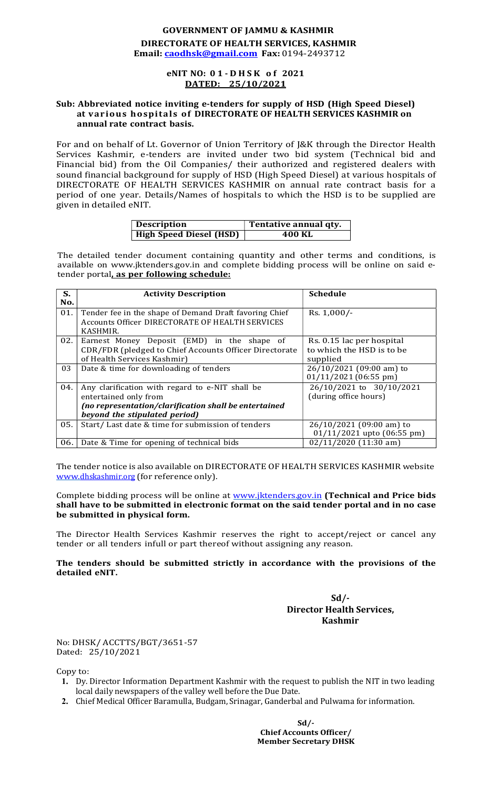#### GOVERNMENT OF JAMMU & KASHMIR DIRECTORATE OF HEALTH SERVICES, KASHMIR Email: caodhsk@gmail.com Fax: 0194-2493712

## DATED: 25/10/2021

# GOVERNMENT OF JAMMU & KASHMIR<br>CTORATE OF HEALTH SERVICES, KASHMIR<br>Caodhsk@gmail.com Fax: 0194-2493712<br>eNIT NO: 0 1 - D H S K o f 2021<br>DATED: 25/10/2021<br>inviting e-tenders for supply of HSD (High Speed Diesel)<br>lls of DIRECT Sub: Abbreviated notice inviting e-tenders for supply of HSD (High Speed Diesel) at various hospitals of DIRECTORATE OF HEALTH SERVICES KASHMIR on annual rate contract basis.

For and on behalf of Lt. Governor of Union Territory of J&K through the Director Health Services Kashmir, e-tenders are invited under two bid system (Technical bid and Financial bid) from the Oil Companies/ their authorized and registered dealers with sound financial background for supply of HSD (High Speed Diesel) at various hospitals of DIRECTORATE OF HEALTH SERVICES KASHMIR on annual rate contract basis for a period of one year. Details/Names of hospitals to which the HSD is to be supplied are given in detailed eNIT.

| <b>Description</b>      | Tentative annual qty. |
|-------------------------|-----------------------|
| High Speed Diesel (HSD) | 400 KL                |

The detailed tender document containing quantity and other terms and conditions, is available on www.jktenders.gov.in and complete bidding process will be online on said etender portal, as per following schedule:

| S.  | <b>Activity Description</b>                                                                               | <b>Schedule</b>                                     |  |
|-----|-----------------------------------------------------------------------------------------------------------|-----------------------------------------------------|--|
| No. |                                                                                                           |                                                     |  |
| 01. | Tender fee in the shape of Demand Draft favoring Chief<br>Accounts Officer DIRECTORATE OF HEALTH SERVICES | Rs. $1,000/-$                                       |  |
|     | KASHMIR.                                                                                                  |                                                     |  |
| 02. | Earnest Money Deposit (EMD) in the shape of                                                               | Rs. 0.15 lac per hospital                           |  |
|     | CDR/FDR (pledged to Chief Accounts Officer Directorate                                                    | to which the HSD is to be                           |  |
|     | of Health Services Kashmir)                                                                               | supplied                                            |  |
| 03  | Date & time for downloading of tenders                                                                    | 26/10/2021 (09:00 am) to<br>$01/11/2021$ (06:55 pm) |  |
| 04. | Any clarification with regard to e-NIT shall be                                                           | 26/10/2021 to 30/10/2021                            |  |
|     | entertained only from                                                                                     | (during office hours)                               |  |
|     | (no representation/clarification shall be entertained                                                     |                                                     |  |
|     | beyond the stipulated period)                                                                             |                                                     |  |
| 05. | Start/Last date & time for submission of tenders                                                          | 26/10/2021 (09:00 am) to                            |  |
|     |                                                                                                           | $01/11/2021$ upto $(06:55 \text{ pm})$              |  |
| 06. | Date & Time for opening of technical bids                                                                 | $02/11/2020$ (11:30 am)                             |  |

The tender notice is also available on DIRECTORATE OF HEALTH SERVICES KASHMIR website www.dhskashmir.org (for reference only).

Complete bidding process will be online at www.jktenders.gov.in (Technical and Price bids shall have to be submitted in electronic format on the said tender portal and in no case be submitted in physical form.

The Director Health Services Kashmir reserves the right to accept/reject or cancel any tender or all tenders infull or part thereof without assigning any reason.

The tenders should be submitted strictly in accordance with the provisions of the detailed eNIT.

#### $Sd$  /-Director Health Services, Kashmir

No: DHSK/ ACCTTS/BGT/3651-57 Dated: 25/10/2021

Copy to:

- 1. Dy. Director Information Department Kashmir with the request to publish the NIT in two leading local daily newspapers of the valley well before the Due Date.
- 2. Chief Medical Officer Baramulla, Budgam, Srinagar, Ganderbal and Pulwama for information.

Sd/- Chief Accounts Officer/ Member Secretary DHSK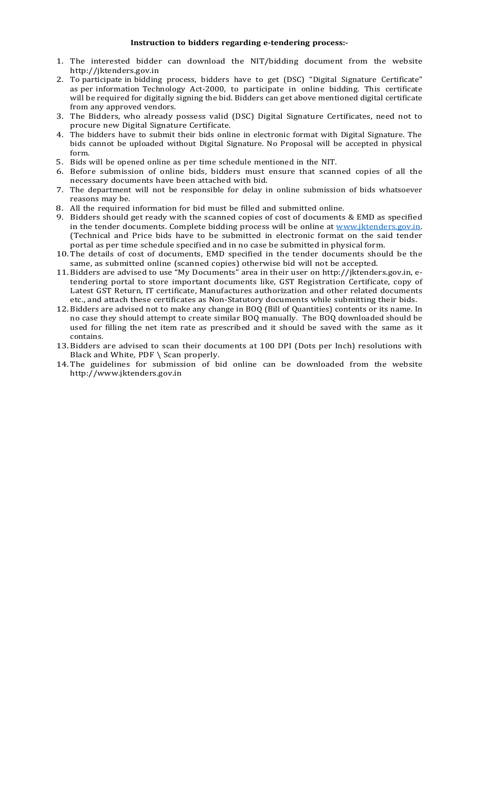#### Instruction to bidders regarding e-tendering process:-

- 1. The interested bidder can download the NIT/bidding document from the website http://jktenders.gov.in
- 2. To participate in bidding process, bidders have to get (DSC) "Digital Signature Certificate" as per information Technology Act-2000, to participate in online bidding. This certificate will be required for digitally signing the bid. Bidders can get above mentioned digital certificate from any approved vendors.
- 3. The Bidders, who already possess valid (DSC) Digital Signature Certificates, need not to procure new Digital Signature Certificate.
- 4. The bidders have to submit their bids online in electronic format with Digital Signature. The bids cannot be uploaded without Digital Signature. No Proposal will be accepted in physical form.
- 5. Bids will be opened online as per time schedule mentioned in the NIT.
- 6. Before submission of online bids, bidders must ensure that scanned copies of all the necessary documents have been attached with bid.
- 7. The department will not be responsible for delay in online submission of bids whatsoever reasons may be.
- 8. All the required information for bid must be filled and submitted online.
- 9. Bidders should get ready with the scanned copies of cost of documents & EMD as specified in the tender documents. Complete bidding process will be online at www.jktenders.gov.in.<br>(Technical and Price bids have to be submitted in electronic format on the said tender portal as per time schedule specified and in no case be submitted in physical form.
- 10. The details of cost of documents, EMD specified in the tender documents should be the same, as submitted online (scanned copies) otherwise bid will not be accepted.
- 11. Bidders are advised to use "My Documents" area in their user on http://jktenders.gov.in, etendering portal to store important documents like, GST Registration Certificate, copy of Latest GST Return, IT certificate, Manufactures authorization and other related documents etc., and attach these certificates as Non-Statutory documents while submitting their bids.
- 12. Bidders are advised not to make any change in BOQ (Bill of Quantities) contents or its name. In no case they should attempt to create similar BOQ manually. The BOQ downloaded should be used for filling the net item rate as prescribed and it should be saved with the same as it contains.
- 13. Bidders are advised to scan their documents at 100 DPI (Dots per Inch) resolutions with Black and White, PDF \ Scan properly.
- 14. The guidelines for submission of bid online can be downloaded from the website http://www.jktenders.gov.in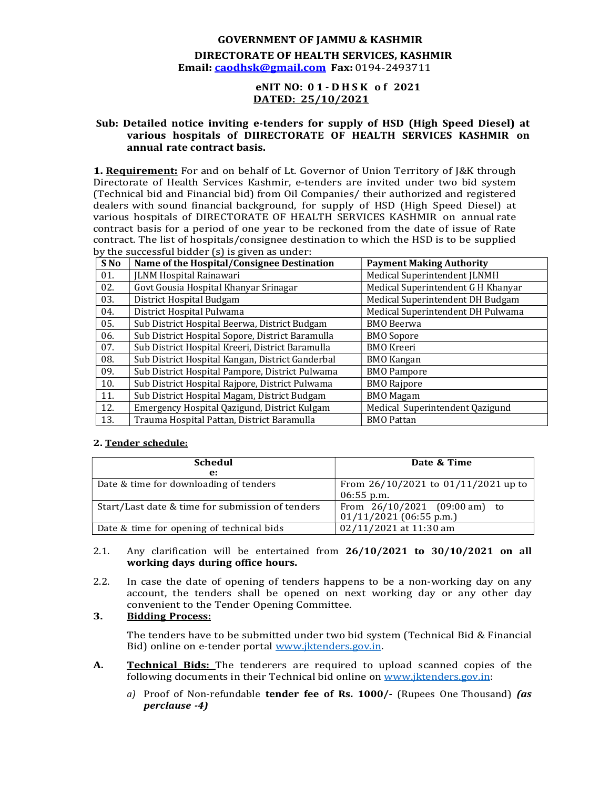#### GOVERNMENT OF JAMMU & KASHMIR DIRECTORATE OF HEALTH SERVICES, KASHMIR Email: caodhsk@gmail.com Fax: 0194-2493711

### DATED: 25/10/2021

## GOVERNMENT OF JAMMU & KASHMIR<br>
DIRECTORATE OF HEALTH SERVICES, KASHMIR<br>
mail: <u>caodhsk@gmail.com</u> Fax: 0194-2493711<br>
eNIT NO: 01- D H S K of 2021<br>
DATED: 25/10/2021<br>
ice inviting e-tenders for supply of HSD (High Speed Die Sub: Detailed notice inviting e-tenders for supply of HSD (High Speed Diesel) at various hospitals of DIIRECTORATE OF HEALTH SERVICES KASHMIR on annual rate contract basis.

**1. Requirement:** For and on behalf of Lt. Governor of Union Territory of I&K through Directorate of Health Services Kashmir, e-tenders are invited under two bid system (Technical bid and Financial bid) from Oil Companies/ their authorized and registered dealers with sound financial background, for supply of HSD (High Speed Diesel) at various hospitals of DIRECTORATE OF HEALTH SERVICES KASHMIR on annual rate contract basis for a period of one year to be reckoned from the date of issue of Rate contract. The list of hospitals/consignee destination to which the HSD is to be supplied by the successful bidder (s) is given as under:

| S No | Name of the Hospital/Consignee Destination       | <b>Payment Making Authority</b>    |  |
|------|--------------------------------------------------|------------------------------------|--|
| 01.  | <b>JLNM Hospital Rainawari</b>                   | Medical Superintendent JLNMH       |  |
| 02.  | Govt Gousia Hospital Khanyar Srinagar            | Medical Superintendent G H Khanyar |  |
| 03.  | District Hospital Budgam                         | Medical Superintendent DH Budgam   |  |
| 04.  | District Hospital Pulwama                        | Medical Superintendent DH Pulwama  |  |
| 05.  | Sub District Hospital Beerwa, District Budgam    | <b>BMO</b> Beerwa                  |  |
| 06.  | Sub District Hospital Sopore, District Baramulla | <b>BMO</b> Sopore                  |  |
| 07.  | Sub District Hospital Kreeri, District Baramulla | <b>BMO</b> Kreeri                  |  |
| 08.  | Sub District Hospital Kangan, District Ganderbal | <b>BMO</b> Kangan                  |  |
| 09.  | Sub District Hospital Pampore, District Pulwama  | <b>BMO</b> Pampore                 |  |
| 10.  | Sub District Hospital Rajpore, District Pulwama  | <b>BMO Rajpore</b>                 |  |
| 11.  | Sub District Hospital Magam, District Budgam     | <b>BMO</b> Magam                   |  |
| 12.  | Emergency Hospital Qazigund, District Kulgam     | Medical Superintendent Qazigund    |  |
| 13.  | Trauma Hospital Pattan, District Baramulla       | <b>BMO</b> Pattan                  |  |

#### 2. Tender schedule:

| <b>Schedul</b>                                   | Date & Time                                                |
|--------------------------------------------------|------------------------------------------------------------|
| $\mathbf{e}$ :                                   |                                                            |
| Date & time for downloading of tenders           | From $26/10/2021$ to $01/11/2021$ up to                    |
|                                                  | $06:55$ p.m.                                               |
| Start/Last date & time for submission of tenders | From 26/10/2021 (09:00 am) to<br>$01/11/2021$ (06:55 p.m.) |
| Date & time for opening of technical bids        | 02/11/2021 at 11:30 am                                     |

#### 2.1. Any clarification will be entertained from  $26/10/2021$  to  $30/10/2021$  on all working days during office hours.

2.2. In case the date of opening of tenders happens to be a non-working day on any account, the tenders shall be opened on next working day or any other day convenient to the Tender Opening Committee.

#### 3. Bidding Process:

The tenders have to be submitted under two bid system (Technical Bid & Financial Bid) online on e-tender portal www.jktenders.gov.in.

- A. **Technical Bids:** The tenderers are required to upload scanned copies of the following documents in their Technical bid online on www.jktenders.gov.in:
	- a) Proof of Non-refundable tender fee of Rs.  $1000/$  (Rupees One Thousand) (as perclause -4)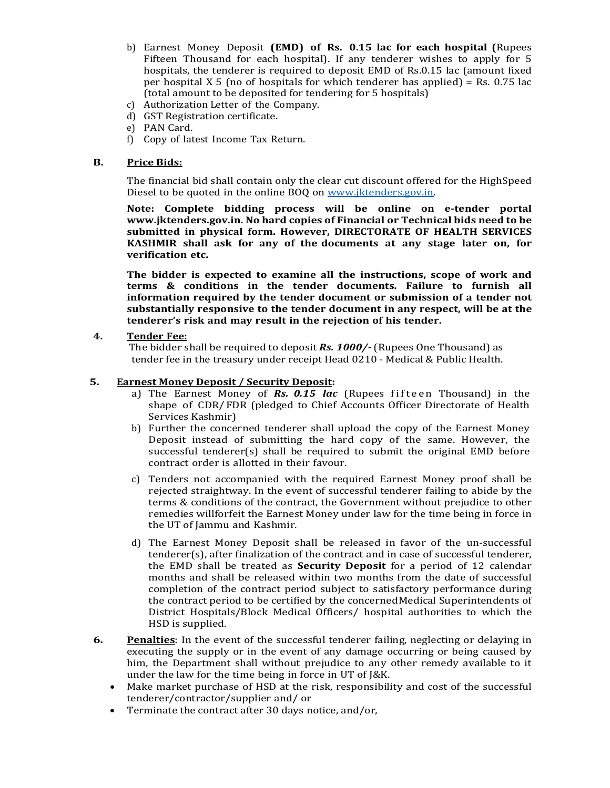- b) Earnest Money Deposit (EMD) of Rs. 0.15 lac for each hospital (Rupees Fifteen Thousand for each hospital). If any tenderer wishes to apply for 5 hospitals, the tenderer is required to deposit EMD of Rs.0.15 lac (amount fixed per hospital X 5 (no of hospitals for which tenderer has applied) = Rs. 0.75 lac (total amount to be deposited for tendering for 5 hospitals)
- c) Authorization Letter of the Company.
- d) GST Registration certificate.
- e) PAN Card.
- f) Copy of latest Income Tax Return.

#### B. Price Bids:

The financial bid shall contain only the clear cut discount offered for the High Speed Diesel to be quoted in the online BOQ on www.jktenders.gov.in.

Note: Complete bidding process will be online on e-tender portal www.jktenders.gov.in. No hard copies of Financial or Technical bids need to be submitted in physical form. However, DIRECTORATE OF HEALTH SERVICES KASHMIR shall ask for any of the documents at any stage later on, for verification etc.

The bidder is expected to examine all the instructions, scope of work and terms & conditions in the tender documents. Failure to furnish all information required by the tender document or submission of a tender not substantially responsive to the tender document in any respect, will be at the tenderer's risk and may result in the rejection of his tender. i Copy of latest Income Tax Return.<br> **Price Bids:**<br>
the financial bid shall contain only the clear cut discount offered for the HighSpeed<br>
thesel to be quoted in the online BOQ on <u>www.iktenders.gov.in</u><br>
tote: Complete bi

#### 4. Tender Fee:

The bidder shall be required to deposit Rs. 1000/- (Rupees One Thousand) as tender fee in the treasury under receipt Head 0210 - Medical & Public Health.

- 5. **Earnest Money Deposit / Security Deposit:**<br>
a) The Earnest Money of **Rs. 0.15 lac** (Rupees fifteen Thousand) in the shape of CDR/ FDR (pledged to Chief Accounts Officer Directorate of Health Services Kashmir)
	- b) Further the concerned tenderer shall upload the copy of the Earnest Money Deposit instead of submitting the hard copy of the same. However, the successful tenderer(s) shall be required to submit the original EMD before contract order is allotted in their favour.
	- c) Tenders not accompanied with the required Earnest Money proof shall be rejected straightway. In the event of successful tenderer failing to abide by the terms & conditions of the contract, the Government without prejudice to other remedies will forfeit the Earnest Money under law for the time being in force in the UT of Jammu and Kashmir.
	- d) The Earnest Money Deposit shall be released in favor of the un-successful tenderer(s), after finalization of the contract and in case of successful tenderer, the EMD shall be treated as Security Deposit for a period of 12 calendar months and shall be released within two months from the date of successful completion of the contract period subject to satisfactory performance during the contract period to be certified by the concerned Medical Superintendents of District Hospitals/Block Medical Officers/ hospital authorities to which the HSD is supplied.
- 6. Penalties: In the event of the successful tenderer failing, neglecting or delaying in executing the supply or in the event of any damage occurring or being caused by him, the Department shall without prejudice to any other remedy available to it under the law for the time being in force in UT of J&K.
	- Make market purchase of HSD at the risk, responsibility and cost of the successful tenderer/contractor/supplier and/ or
	- Terminate the contract after 30 days notice, and/or,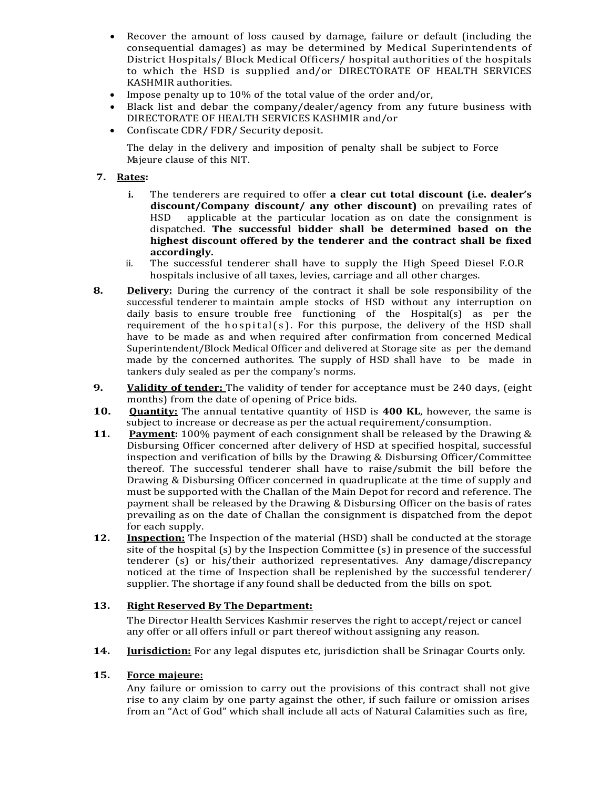- Recover the amount of loss caused by damage, failure or default (including the consequential damages) as may be determined by Medical Superintendents of District Hospitals/ Block Medical Officers/ hospital authorities of the hospitals to which the HSD is supplied and/or DIRECTORATE OF HEALTH SERVICES KASHMIR authorities.
- Impose penalty up to 10% of the total value of the order and/or,
- Black list and debar the company/dealer/agency from any future business with DIRECTORATE OF HEALTH SERVICES KASHMIR and/or
- Confiscate CDR/ FDR/ Security deposit.

The delay in the delivery and imposition of penalty shall be subject to Force Majeure clause of this NIT.

#### 7. Rates:

- i. The tenderers are required to offer a clear cut total discount (i.e. dealer's discount/Company discount/ any other discount) on prevailing rates of HSD applicable at the particular location as on date the consignment is dispatched. The successful bidder shall be determined based on the highest discount offered by the tenderer and the contract shall be fixed accordingly.
- ii. The successful tenderer shall have to supply the High Speed Diesel F.O.R hospitals inclusive of all taxes, levies, carriage and all other charges.
- 8. Delivery: During the currency of the contract it shall be sole responsibility of the successful tenderer to maintain ample stocks of HSD without any interruption on daily basis to ensure trouble free functioning of the Hospital(s) as per the to which the HSD is supplied and/or DIRECTORATE OF HEALTH SERVICES<br>Impose penalty up to 10% of the total value of the order and/or.<br>
Black list and debar the company/dealer/agency from any future business with<br>
Black list have to be made as and when required after confirmation from concerned Medical Superintendent/Block Medical Officer and delivered at Storage site as per the demand made by the concerned authorites. The supply of HSD shall have to be made in tankers duly sealed as per the company's norms.
- 9. Validity of tender: The validity of tender for acceptance must be 240 days, (eight months) from the date of opening of Price bids.
- **10. Quantity:** The annual tentative quantity of HSD is 400 KL, however, the same is subject to increase or decrease as per the actual requirement/consumption.
- **11.** Payment: 100% payment of each consignment shall be released by the Drawing & Disbursing Officer concerned after delivery of HSD at specified hospital, successful inspection and verification of bills by the Drawing & Disbursing Officer/Committee thereof. The successful tenderer shall have to raise/submit the bill before the Drawing & Disbursing Officer concerned in quadruplicate at the time of supply and must be supported with the Challan of the Main Depot for record and reference. The payment shall be released by the Drawing & Disbursing Officer on the basis of rates prevailing as on the date of Challan the consignment is dispatched from the depot for each supply.
- **12.** Inspection: The Inspection of the material (HSD) shall be conducted at the storage site of the hospital (s) by the Inspection Committee (s) in presence of the successful tenderer (s) or his/their authorized representatives. Any damage/discrepancy noticed at the time of Inspection shall be replenished by the successful tenderer/ supplier. The shortage if any found shall be deducted from the bills on spot.

#### 13. Right Reserved By The Department:

The Director Health Services Kashmir reserves the right to accept/reject or cancel any offer or all offers infull or part thereof without assigning any reason.

14. **Jurisdiction:** For any legal disputes etc, jurisdiction shall be Srinagar Courts only.

#### 15. Force majeure:

Any failure or omission to carry out the provisions of this contract shall not give rise to any claim by one party against the other, if such failure or omission arises from an "Act of God" which shall include all acts of Natural Calamities such as fire,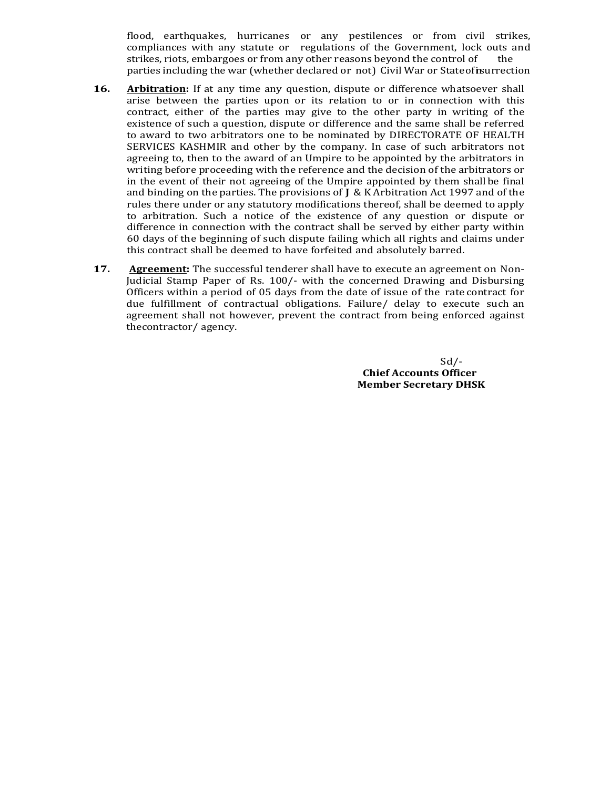flood, earthquakes, hurricanes or any pestilences or from civil strikes, compliances with any statute or regulations of the Government, lock outs and strikes, riots, embargoes or from any other reasons beyond the control of the parties including the war (whether declared or not) Civil War or State of insurrection

- **16.** Arbitration: If at any time any question, dispute or difference whatsoever shall arise between the parties upon or its relation to or in connection with this contract, either of the parties may give to the other party in writing of the existence of such a question, dispute or difference and the same shall be referred to award to two arbitrators one to be nominated by DIRECTORATE OF HEALTH SERVICES KASHMIR and other by the company. In case of such arbitrators not agreeing to, then to the award of an Umpire to be appointed by the arbitrators in writing before proceeding with the reference and the decision of the arbitrators or in the event of their not agreeing of the Umpire appointed by them shall be final and binding on the parties. The provisions of J & K Arbitration Act 1997 and of the rules there under or any statutory modifications thereof, shall be deemed to apply to arbitration. Such a notice of the existence of any question or dispute or difference in connection with the contract shall be served by either party within 60 days of the beginning of such dispute failing which all rights and claims under this contract shall be deemed to have forfeited and absolutely barred.
- **17.** Agreement: The successful tenderer shall have to execute an agreement on Non-Judicial Stamp Paper of Rs. 100/- with the concerned Drawing and Disbursing Officers within a period of 05 days from the date of issue of the rate contract for due fulfillment of contractual obligations. Failure/ delay to execute such an agreement shall not however, prevent the contract from being enforced against the contractor/agency.

 Sd/- Chief Accounts Officer Member Secretary DHSK